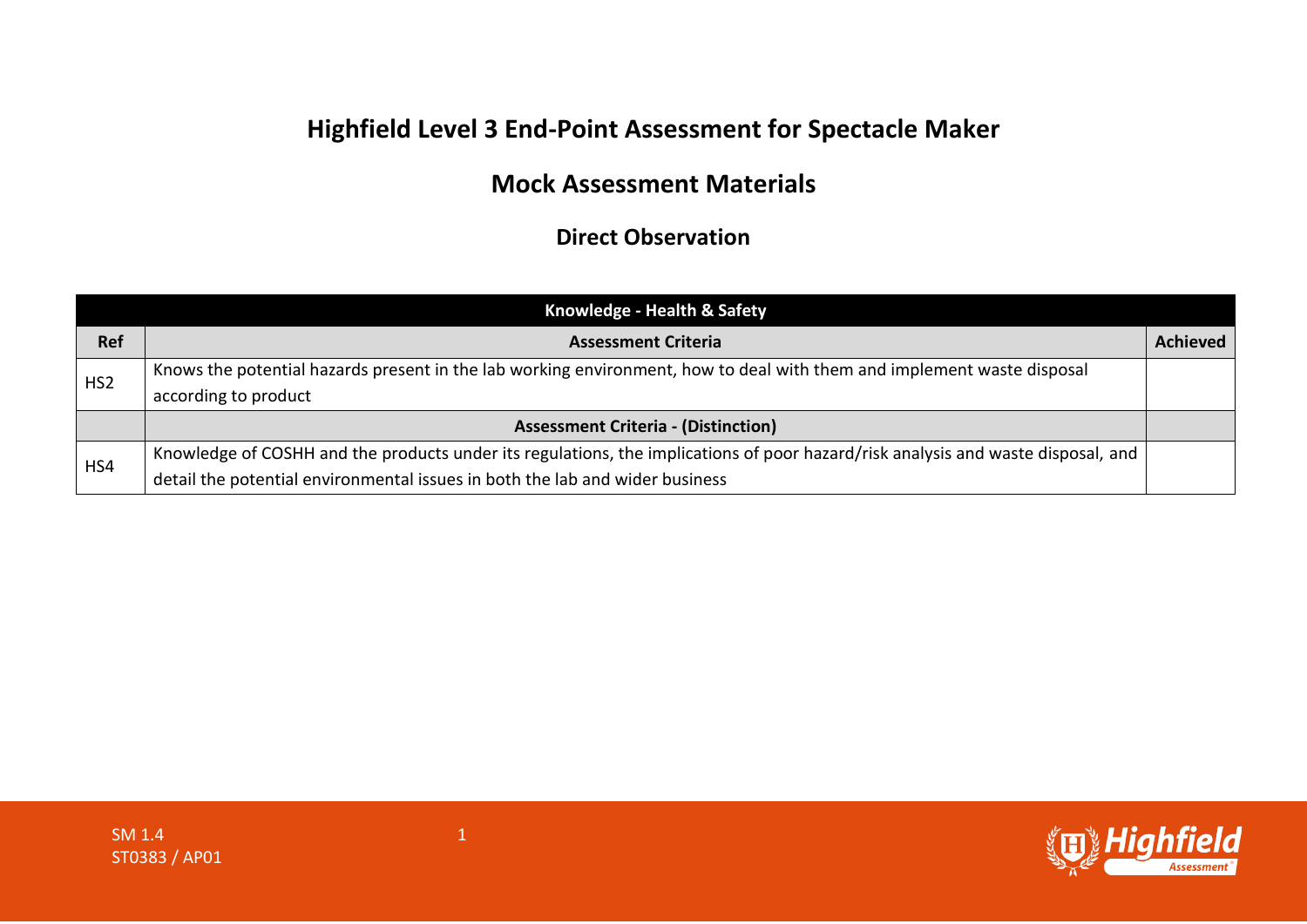## **Highfield Level 3 End-Point Assessment for Spectacle Maker**

## **Mock Assessment Materials**

## **Direct Observation**

|                 | Knowledge - Health & Safety                                                                                                                    |                 |
|-----------------|------------------------------------------------------------------------------------------------------------------------------------------------|-----------------|
| <b>Ref</b>      | <b>Assessment Criteria</b>                                                                                                                     | <b>Achieved</b> |
| HS <sub>2</sub> | Knows the potential hazards present in the lab working environment, how to deal with them and implement waste disposal<br>according to product |                 |
|                 | <b>Assessment Criteria - (Distinction)</b>                                                                                                     |                 |
| HS4             | Knowledge of COSHH and the products under its regulations, the implications of poor hazard/risk analysis and waste disposal, and               |                 |
|                 | detail the potential environmental issues in both the lab and wider business                                                                   |                 |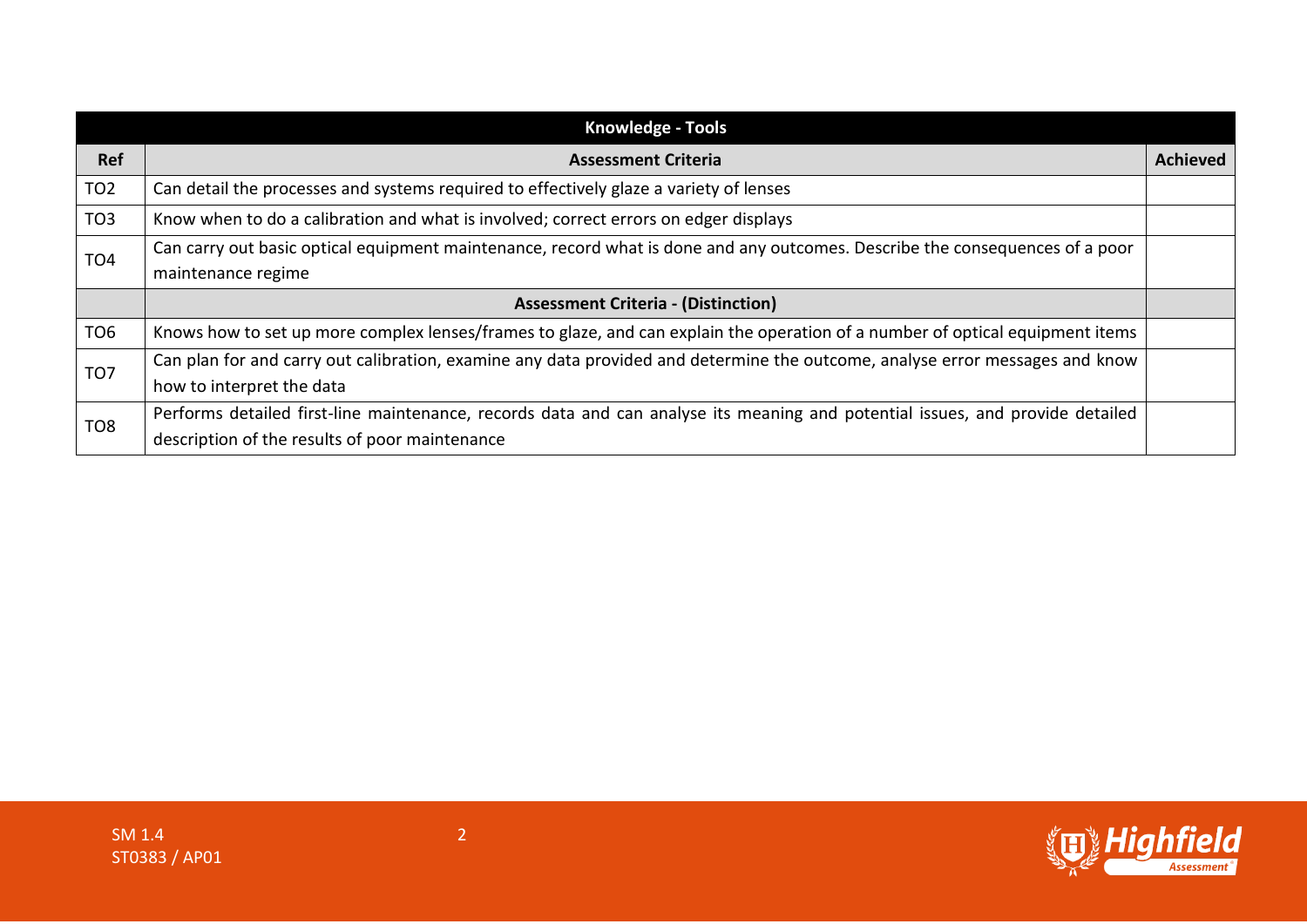| <b>Knowledge - Tools</b> |                                                                                                                                                                                 |                 |
|--------------------------|---------------------------------------------------------------------------------------------------------------------------------------------------------------------------------|-----------------|
| Ref                      | <b>Assessment Criteria</b>                                                                                                                                                      | <b>Achieved</b> |
| TO <sub>2</sub>          | Can detail the processes and systems required to effectively glaze a variety of lenses                                                                                          |                 |
| TO <sub>3</sub>          | Know when to do a calibration and what is involved; correct errors on edger displays                                                                                            |                 |
| TO <sub>4</sub>          | Can carry out basic optical equipment maintenance, record what is done and any outcomes. Describe the consequences of a poor<br>maintenance regime                              |                 |
|                          | <b>Assessment Criteria - (Distinction)</b>                                                                                                                                      |                 |
| TO <sub>6</sub>          | Knows how to set up more complex lenses/frames to glaze, and can explain the operation of a number of optical equipment items                                                   |                 |
| TO <sub>7</sub>          | Can plan for and carry out calibration, examine any data provided and determine the outcome, analyse error messages and know<br>how to interpret the data                       |                 |
| TO <sub>8</sub>          | Performs detailed first-line maintenance, records data and can analyse its meaning and potential issues, and provide detailed<br>description of the results of poor maintenance |                 |

**ID Highfield**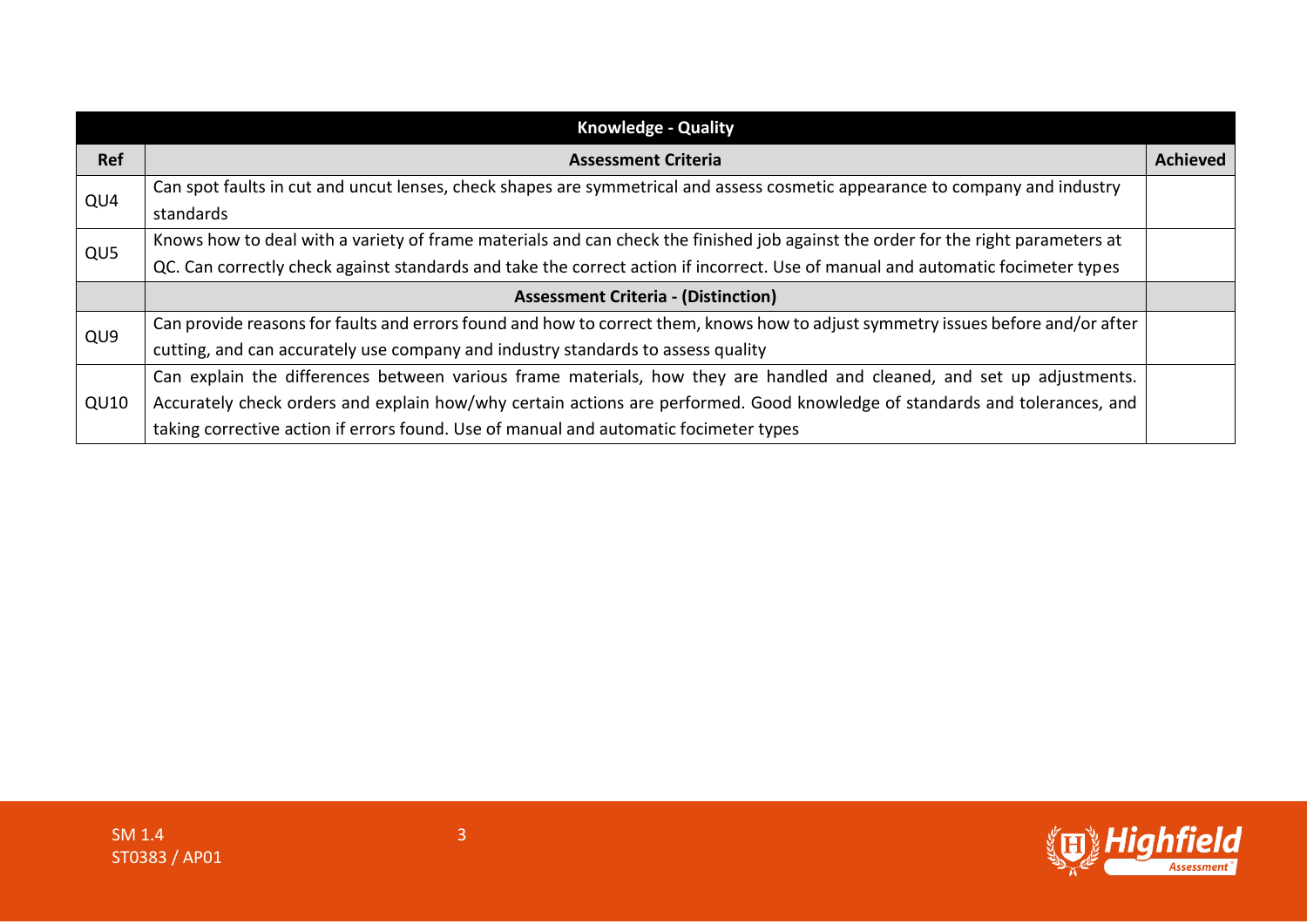| <b>Knowledge - Quality</b> |                                                                                                                                  |                 |
|----------------------------|----------------------------------------------------------------------------------------------------------------------------------|-----------------|
| <b>Ref</b>                 | <b>Assessment Criteria</b>                                                                                                       | <b>Achieved</b> |
| QU4                        | Can spot faults in cut and uncut lenses, check shapes are symmetrical and assess cosmetic appearance to company and industry     |                 |
|                            | standards                                                                                                                        |                 |
| QU5                        | Knows how to deal with a variety of frame materials and can check the finished job against the order for the right parameters at |                 |
|                            | QC. Can correctly check against standards and take the correct action if incorrect. Use of manual and automatic focimeter types  |                 |
|                            | <b>Assessment Criteria - (Distinction)</b>                                                                                       |                 |
| QU <sub>9</sub>            | Can provide reasons for faults and errors found and how to correct them, knows how to adjust symmetry issues before and/or after |                 |
|                            | cutting, and can accurately use company and industry standards to assess quality                                                 |                 |
|                            | Can explain the differences between various frame materials, how they are handled and cleaned, and set up adjustments.           |                 |
| QU10                       | Accurately check orders and explain how/why certain actions are performed. Good knowledge of standards and tolerances, and       |                 |
|                            | taking corrective action if errors found. Use of manual and automatic focimeter types                                            |                 |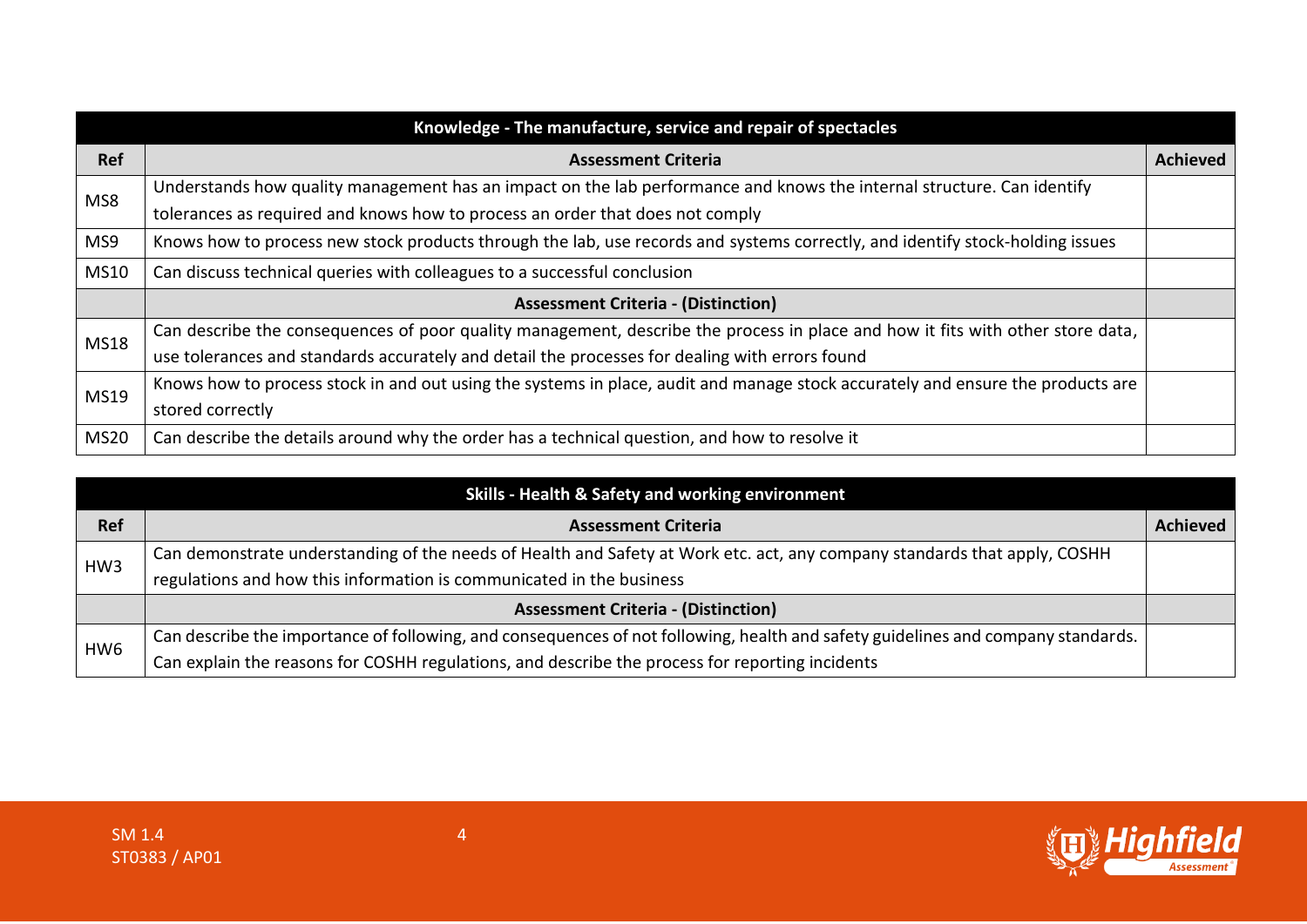|             | Knowledge - The manufacture, service and repair of spectacles                                                                   |                 |
|-------------|---------------------------------------------------------------------------------------------------------------------------------|-----------------|
| <b>Ref</b>  | <b>Assessment Criteria</b>                                                                                                      | <b>Achieved</b> |
| MS8         | Understands how quality management has an impact on the lab performance and knows the internal structure. Can identify          |                 |
|             | tolerances as required and knows how to process an order that does not comply                                                   |                 |
| MS9         | Knows how to process new stock products through the lab, use records and systems correctly, and identify stock-holding issues   |                 |
| <b>MS10</b> | Can discuss technical queries with colleagues to a successful conclusion                                                        |                 |
|             | <b>Assessment Criteria - (Distinction)</b>                                                                                      |                 |
| <b>MS18</b> | Can describe the consequences of poor quality management, describe the process in place and how it fits with other store data,  |                 |
|             | use tolerances and standards accurately and detail the processes for dealing with errors found                                  |                 |
| MS19        | Knows how to process stock in and out using the systems in place, audit and manage stock accurately and ensure the products are |                 |
|             | stored correctly                                                                                                                |                 |
| <b>MS20</b> | Can describe the details around why the order has a technical question, and how to resolve it                                   |                 |

| Skills - Health & Safety and working environment |                                                                                                                                  |                 |
|--------------------------------------------------|----------------------------------------------------------------------------------------------------------------------------------|-----------------|
| <b>Ref</b>                                       | <b>Assessment Criteria</b>                                                                                                       | <b>Achieved</b> |
| HW <sub>3</sub>                                  | Can demonstrate understanding of the needs of Health and Safety at Work etc. act, any company standards that apply, COSHH        |                 |
|                                                  | regulations and how this information is communicated in the business                                                             |                 |
|                                                  | <b>Assessment Criteria - (Distinction)</b>                                                                                       |                 |
| HW <sub>6</sub>                                  | Can describe the importance of following, and consequences of not following, health and safety guidelines and company standards. |                 |
|                                                  | Can explain the reasons for COSHH regulations, and describe the process for reporting incidents                                  |                 |

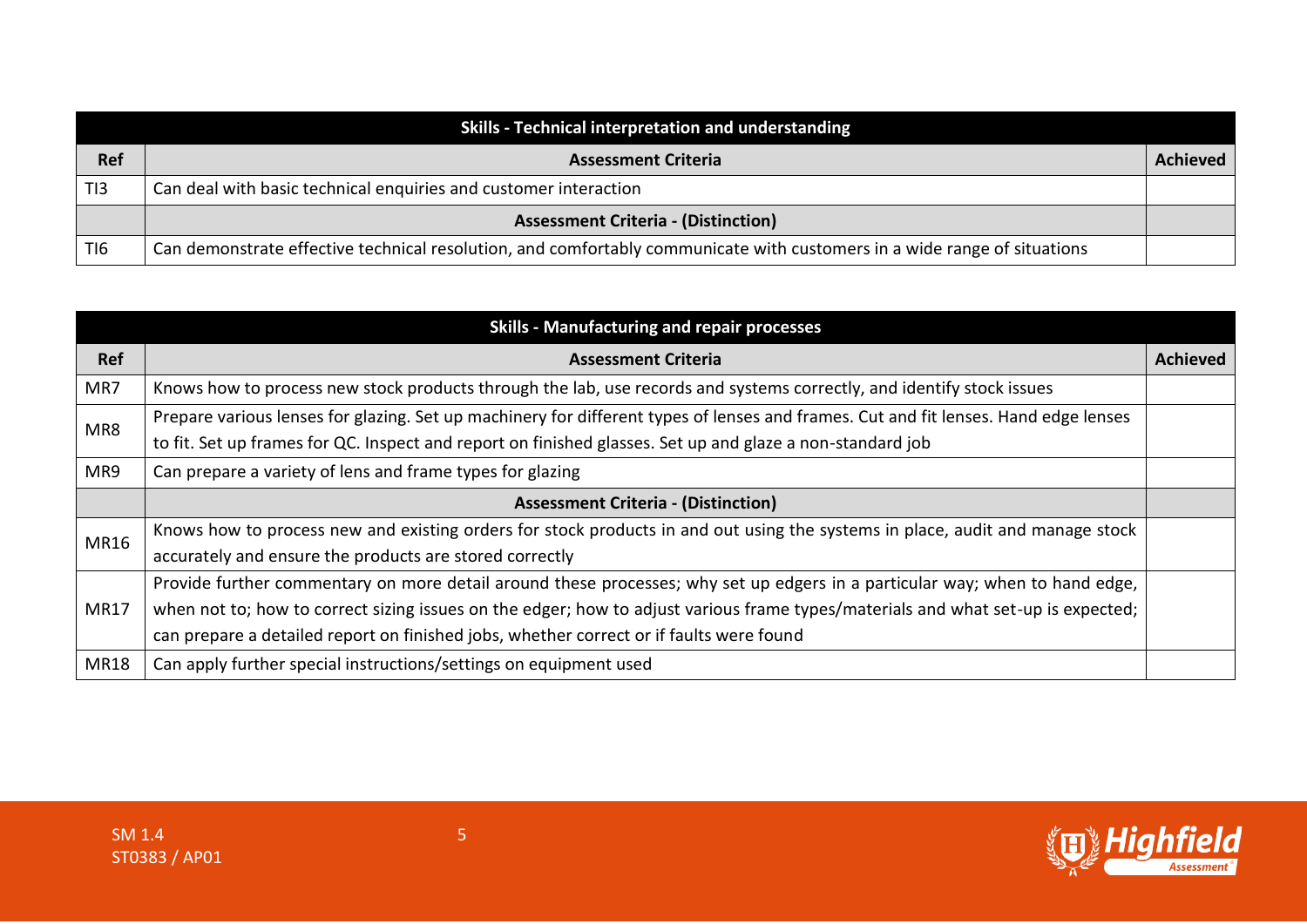| Skills - Technical interpretation and understanding |                                                                                                                          |                 |
|-----------------------------------------------------|--------------------------------------------------------------------------------------------------------------------------|-----------------|
| Ref                                                 | <b>Assessment Criteria</b>                                                                                               | <b>Achieved</b> |
| TI3                                                 | Can deal with basic technical enquiries and customer interaction                                                         |                 |
|                                                     | <b>Assessment Criteria - (Distinction)</b>                                                                               |                 |
| TI <sub>6</sub>                                     | Can demonstrate effective technical resolution, and comfortably communicate with customers in a wide range of situations |                 |

| <b>Skills - Manufacturing and repair processes</b> |                                                                                                                                     |          |
|----------------------------------------------------|-------------------------------------------------------------------------------------------------------------------------------------|----------|
| <b>Ref</b>                                         | <b>Assessment Criteria</b>                                                                                                          | Achieved |
| MR7                                                | Knows how to process new stock products through the lab, use records and systems correctly, and identify stock issues               |          |
| MR8                                                | Prepare various lenses for glazing. Set up machinery for different types of lenses and frames. Cut and fit lenses. Hand edge lenses |          |
|                                                    | to fit. Set up frames for QC. Inspect and report on finished glasses. Set up and glaze a non-standard job                           |          |
| MR9                                                | Can prepare a variety of lens and frame types for glazing                                                                           |          |
|                                                    | <b>Assessment Criteria - (Distinction)</b>                                                                                          |          |
| <b>MR16</b>                                        | Knows how to process new and existing orders for stock products in and out using the systems in place, audit and manage stock       |          |
|                                                    | accurately and ensure the products are stored correctly                                                                             |          |
|                                                    | Provide further commentary on more detail around these processes; why set up edgers in a particular way; when to hand edge,         |          |
| <b>MR17</b>                                        | when not to; how to correct sizing issues on the edger; how to adjust various frame types/materials and what set-up is expected;    |          |
|                                                    | can prepare a detailed report on finished jobs, whether correct or if faults were found                                             |          |
| <b>MR18</b>                                        | Can apply further special instructions/settings on equipment used                                                                   |          |

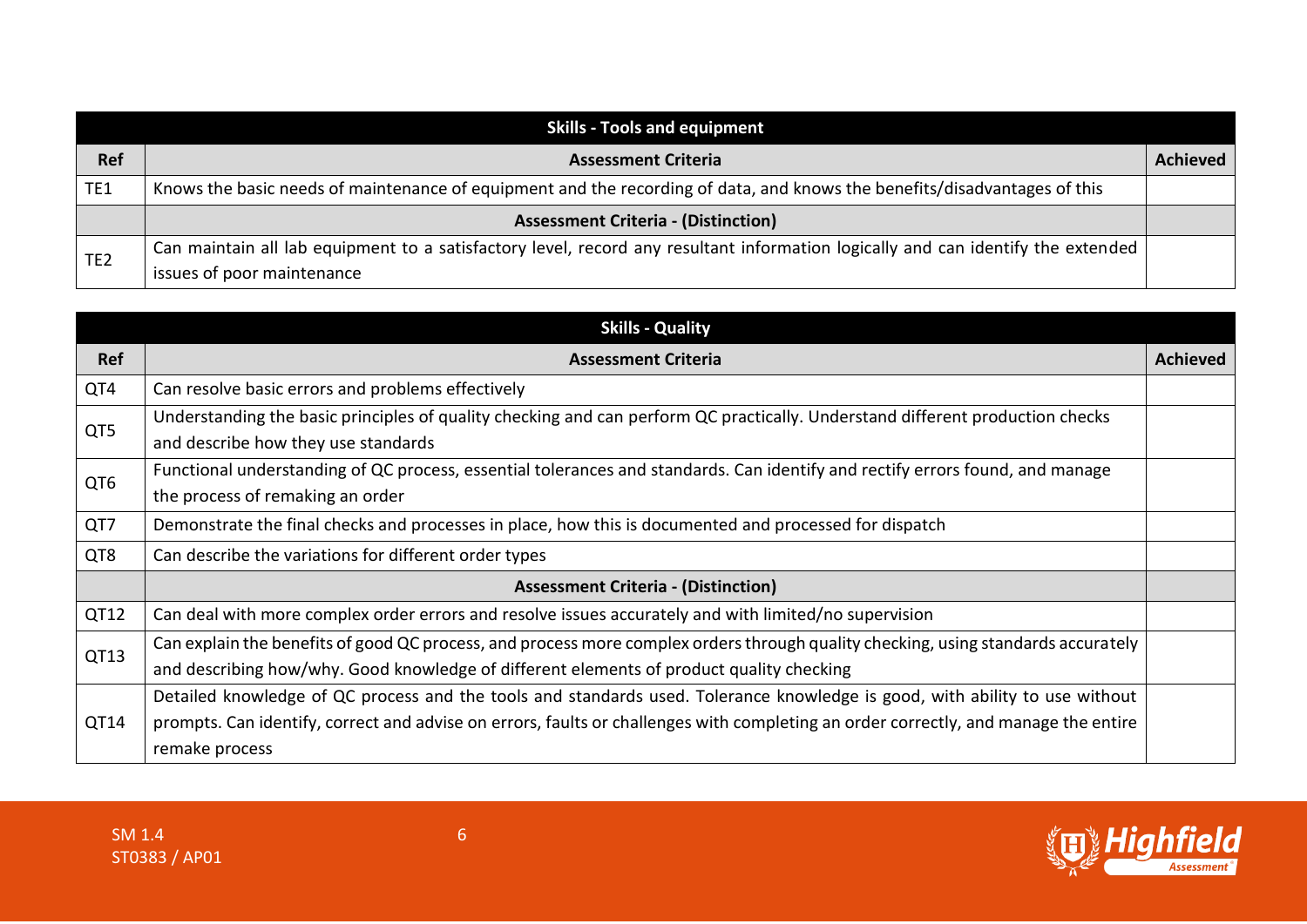| <b>Skills - Tools and equipment</b> |                                                                                                                                  |                 |
|-------------------------------------|----------------------------------------------------------------------------------------------------------------------------------|-----------------|
| <b>Ref</b>                          | <b>Assessment Criteria</b>                                                                                                       | <b>Achieved</b> |
| TE1                                 | Knows the basic needs of maintenance of equipment and the recording of data, and knows the benefits/disadvantages of this        |                 |
|                                     | <b>Assessment Criteria - (Distinction)</b>                                                                                       |                 |
| TE <sub>2</sub>                     | Can maintain all lab equipment to a satisfactory level, record any resultant information logically and can identify the extended |                 |
|                                     | issues of poor maintenance                                                                                                       |                 |

|                 | <b>Skills - Quality</b>                                                                                                             |                 |
|-----------------|-------------------------------------------------------------------------------------------------------------------------------------|-----------------|
| <b>Ref</b>      | <b>Assessment Criteria</b>                                                                                                          | <b>Achieved</b> |
| QT4             | Can resolve basic errors and problems effectively                                                                                   |                 |
| QT5             | Understanding the basic principles of quality checking and can perform QC practically. Understand different production checks       |                 |
|                 | and describe how they use standards                                                                                                 |                 |
| QT <sub>6</sub> | Functional understanding of QC process, essential tolerances and standards. Can identify and rectify errors found, and manage       |                 |
|                 | the process of remaking an order                                                                                                    |                 |
| QT7             | Demonstrate the final checks and processes in place, how this is documented and processed for dispatch                              |                 |
| QT8             | Can describe the variations for different order types                                                                               |                 |
|                 | <b>Assessment Criteria - (Distinction)</b>                                                                                          |                 |
| QT12            | Can deal with more complex order errors and resolve issues accurately and with limited/no supervision                               |                 |
| QT13            | Can explain the benefits of good QC process, and process more complex orders through quality checking, using standards accurately   |                 |
|                 | and describing how/why. Good knowledge of different elements of product quality checking                                            |                 |
|                 | Detailed knowledge of QC process and the tools and standards used. Tolerance knowledge is good, with ability to use without         |                 |
| QT14            | prompts. Can identify, correct and advise on errors, faults or challenges with completing an order correctly, and manage the entire |                 |
|                 | remake process                                                                                                                      |                 |